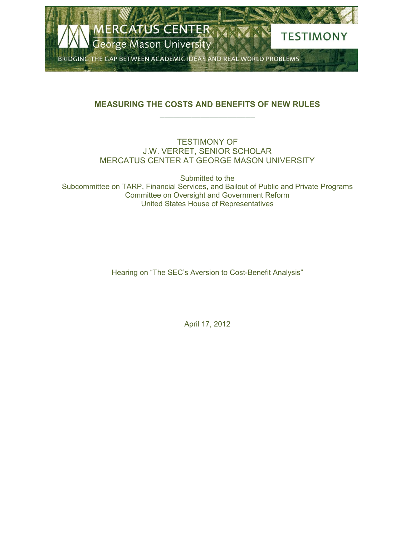

## **MEASURING THE COSTS AND BENEFITS OF NEW RULES \_\_\_\_\_\_\_\_\_\_\_\_\_\_\_\_\_\_\_\_\_**

## TESTIMONY OF J.W. VERRET, SENIOR SCHOLAR MERCATUS CENTER AT GEORGE MASON UNIVERSITY

Submitted to the Subcommittee on TARP, Financial Services, and Bailout of Public and Private Programs Committee on Oversight and Government Reform United States House of Representatives

Hearing on "The SEC's Aversion to Cost-Benefit Analysis"

April 17, 2012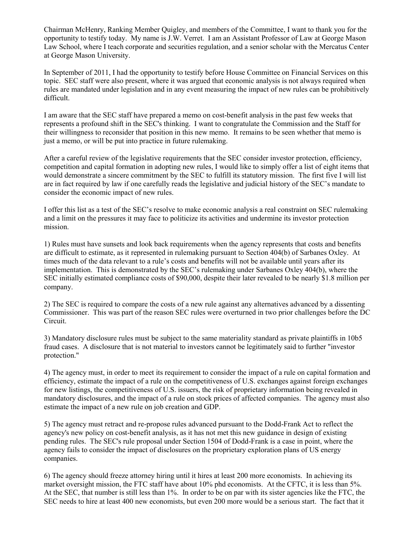Chairman McHenry, Ranking Member Quigley, and members of the Committee, I want to thank you for the opportunity to testify today. My name is J.W. Verret. I am an Assistant Professor of Law at George Mason Law School, where I teach corporate and securities regulation, and a senior scholar with the Mercatus Center at George Mason University.

In September of 2011, I had the opportunity to testify before House Committee on Financial Services on this topic. SEC staff were also present, where it was argued that economic analysis is not always required when rules are mandated under legislation and in any event measuring the impact of new rules can be prohibitively difficult.

I am aware that the SEC staff have prepared a memo on cost-benefit analysis in the past few weeks that represents a profound shift in the SEC's thinking. I want to congratulate the Commission and the Staff for their willingness to reconsider that position in this new memo. It remains to be seen whether that memo is just a memo, or will be put into practice in future rulemaking.

After a careful review of the legislative requirements that the SEC consider investor protection, efficiency, competition and capital formation in adopting new rules, I would like to simply offer a list of eight items that would demonstrate a sincere commitment by the SEC to fulfill its statutory mission. The first five I will list are in fact required by law if one carefully reads the legislative and judicial history of the SEC's mandate to consider the economic impact of new rules.

I offer this list as a test of the SEC's resolve to make economic analysis a real constraint on SEC rulemaking and a limit on the pressures it may face to politicize its activities and undermine its investor protection mission.

1) Rules must have sunsets and look back requirements when the agency represents that costs and benefits are difficult to estimate, as it represented in rulemaking pursuant to Section 404(b) of Sarbanes Oxley. At times much of the data relevant to a rule's costs and benefits will not be available until years after its implementation. This is demonstrated by the SEC's rulemaking under Sarbanes Oxley 404(b), where the SEC initially estimated compliance costs of \$90,000, despite their later revealed to be nearly \$1.8 million per company.

2) The SEC is required to compare the costs of a new rule against any alternatives advanced by a dissenting Commissioner. This was part of the reason SEC rules were overturned in two prior challenges before the DC Circuit.

3) Mandatory disclosure rules must be subject to the same materiality standard as private plaintiffs in 10b5 fraud cases. A disclosure that is not material to investors cannot be legitimately said to further "investor protection."

4) The agency must, in order to meet its requirement to consider the impact of a rule on capital formation and efficiency, estimate the impact of a rule on the competitiveness of U.S. exchanges against foreign exchanges for new listings, the competitiveness of U.S. issuers, the risk of proprietary information being revealed in mandatory disclosures, and the impact of a rule on stock prices of affected companies. The agency must also estimate the impact of a new rule on job creation and GDP.

5) The agency must retract and re-propose rules advanced pursuant to the Dodd-Frank Act to reflect the agency's new policy on cost-benefit analysis, as it has not met this new guidance in design of existing pending rules. The SEC's rule proposal under Section 1504 of Dodd-Frank is a case in point, where the agency fails to consider the impact of disclosures on the proprietary exploration plans of US energy companies.

6) The agency should freeze attorney hiring until it hires at least 200 more economists. In achieving its market oversight mission, the FTC staff have about 10% phd economists. At the CFTC, it is less than 5%. At the SEC, that number is still less than 1%. In order to be on par with its sister agencies like the FTC, the SEC needs to hire at least 400 new economists, but even 200 more would be a serious start. The fact that it